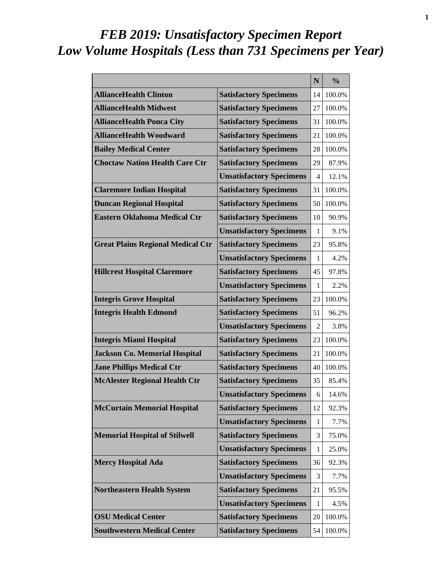# *FEB 2019: Unsatisfactory Specimen Report Low Volume Hospitals (Less than 731 Specimens per Year)*

|                                          |                                 | N              | $\frac{0}{0}$ |
|------------------------------------------|---------------------------------|----------------|---------------|
| <b>AllianceHealth Clinton</b>            | <b>Satisfactory Specimens</b>   | 14             | 100.0%        |
| <b>AllianceHealth Midwest</b>            | <b>Satisfactory Specimens</b>   | 27             | 100.0%        |
| <b>AllianceHealth Ponca City</b>         | <b>Satisfactory Specimens</b>   | 31             | 100.0%        |
| <b>AllianceHealth Woodward</b>           | <b>Satisfactory Specimens</b>   | 21             | 100.0%        |
| <b>Bailey Medical Center</b>             | <b>Satisfactory Specimens</b>   | 28             | 100.0%        |
| <b>Choctaw Nation Health Care Ctr</b>    | <b>Satisfactory Specimens</b>   | 29             | 87.9%         |
|                                          | <b>Unsatisfactory Specimens</b> | 4              | 12.1%         |
| <b>Claremore Indian Hospital</b>         | <b>Satisfactory Specimens</b>   | 31             | 100.0%        |
| <b>Duncan Regional Hospital</b>          | <b>Satisfactory Specimens</b>   | 50             | 100.0%        |
| <b>Eastern Oklahoma Medical Ctr</b>      | <b>Satisfactory Specimens</b>   | 10             | 90.9%         |
|                                          | <b>Unsatisfactory Specimens</b> | 1              | 9.1%          |
| <b>Great Plains Regional Medical Ctr</b> | <b>Satisfactory Specimens</b>   | 23             | 95.8%         |
|                                          | <b>Unsatisfactory Specimens</b> | 1              | 4.2%          |
| <b>Hillcrest Hospital Claremore</b>      | <b>Satisfactory Specimens</b>   | 45             | 97.8%         |
|                                          | <b>Unsatisfactory Specimens</b> | 1              | 2.2%          |
| <b>Integris Grove Hospital</b>           | <b>Satisfactory Specimens</b>   | 23             | 100.0%        |
| <b>Integris Health Edmond</b>            | <b>Satisfactory Specimens</b>   | 51             | 96.2%         |
|                                          | <b>Unsatisfactory Specimens</b> | $\overline{2}$ | 3.8%          |
| <b>Integris Miami Hospital</b>           | <b>Satisfactory Specimens</b>   | 23             | 100.0%        |
| <b>Jackson Co. Memorial Hospital</b>     | <b>Satisfactory Specimens</b>   | 21             | 100.0%        |
| <b>Jane Phillips Medical Ctr</b>         | <b>Satisfactory Specimens</b>   | 40             | 100.0%        |
| <b>McAlester Regional Health Ctr</b>     | <b>Satisfactory Specimens</b>   | 35             | 85.4%         |
|                                          | <b>Unsatisfactory Specimens</b> | 6              | 14.6%         |
| <b>McCurtain Memorial Hospital</b>       | <b>Satisfactory Specimens</b>   | 12             | 92.3%         |
|                                          | <b>Unsatisfactory Specimens</b> | 1              | 7.7%          |
| <b>Memorial Hospital of Stilwell</b>     | <b>Satisfactory Specimens</b>   | 3              | 75.0%         |
|                                          | <b>Unsatisfactory Specimens</b> | 1              | 25.0%         |
| <b>Mercy Hospital Ada</b>                | <b>Satisfactory Specimens</b>   | 36             | 92.3%         |
|                                          | <b>Unsatisfactory Specimens</b> | 3              | 7.7%          |
| <b>Northeastern Health System</b>        | <b>Satisfactory Specimens</b>   | 21             | 95.5%         |
|                                          | <b>Unsatisfactory Specimens</b> | 1              | 4.5%          |
| <b>OSU Medical Center</b>                | <b>Satisfactory Specimens</b>   | 20             | 100.0%        |
| <b>Southwestern Medical Center</b>       | <b>Satisfactory Specimens</b>   | 54             | 100.0%        |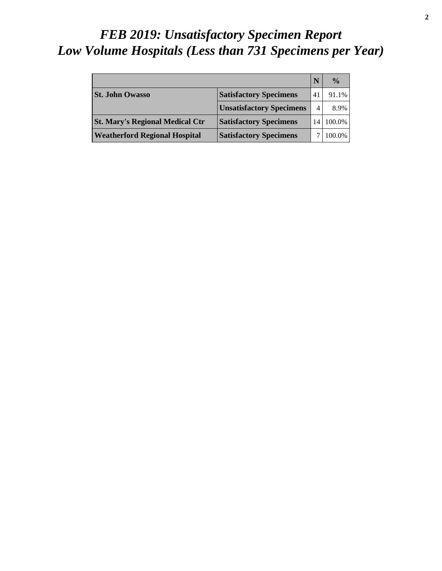# *FEB 2019: Unsatisfactory Specimen Report Low Volume Hospitals (Less than 731 Specimens per Year)*

|                                        |                                 |                | $\frac{0}{0}$ |
|----------------------------------------|---------------------------------|----------------|---------------|
| <b>St. John Owasso</b>                 | <b>Satisfactory Specimens</b>   | 41             | 91.1%         |
|                                        | <b>Unsatisfactory Specimens</b> | $\overline{4}$ | 8.9%          |
| <b>St. Mary's Regional Medical Ctr</b> | <b>Satisfactory Specimens</b>   | 14             | 100.0%        |
| <b>Weatherford Regional Hospital</b>   | <b>Satisfactory Specimens</b>   |                | 100.0%        |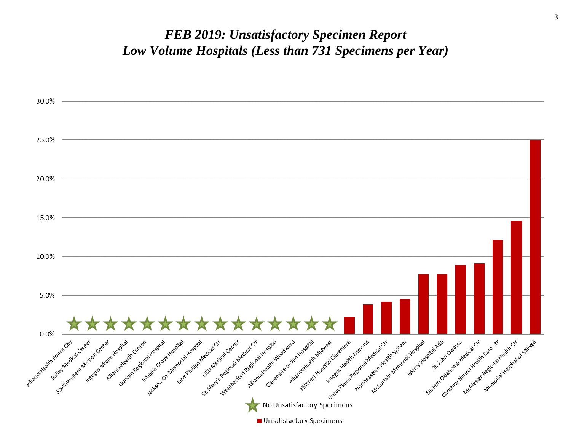#### *FEB 2019: Unsatisfactory Specimen Report Low Volume Hospitals (Less than 731 Specimens per Year)*

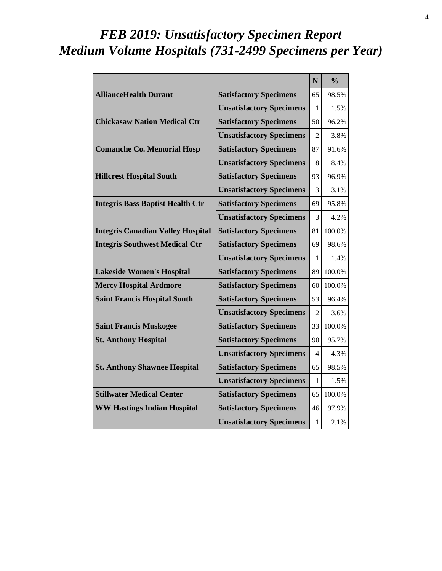# *FEB 2019: Unsatisfactory Specimen Report Medium Volume Hospitals (731-2499 Specimens per Year)*

|                                          |                                 | N              | $\frac{0}{0}$ |
|------------------------------------------|---------------------------------|----------------|---------------|
| <b>AllianceHealth Durant</b>             | <b>Satisfactory Specimens</b>   | 65             | 98.5%         |
|                                          | <b>Unsatisfactory Specimens</b> | 1              | 1.5%          |
| <b>Chickasaw Nation Medical Ctr</b>      | <b>Satisfactory Specimens</b>   | 50             | 96.2%         |
|                                          | <b>Unsatisfactory Specimens</b> | $\mathfrak{D}$ | 3.8%          |
| <b>Comanche Co. Memorial Hosp</b>        | <b>Satisfactory Specimens</b>   | 87             | 91.6%         |
|                                          | <b>Unsatisfactory Specimens</b> | 8              | 8.4%          |
| <b>Hillcrest Hospital South</b>          | <b>Satisfactory Specimens</b>   | 93             | 96.9%         |
|                                          | <b>Unsatisfactory Specimens</b> | 3              | 3.1%          |
| <b>Integris Bass Baptist Health Ctr</b>  | <b>Satisfactory Specimens</b>   | 69             | 95.8%         |
|                                          | <b>Unsatisfactory Specimens</b> | 3              | 4.2%          |
| <b>Integris Canadian Valley Hospital</b> | <b>Satisfactory Specimens</b>   | 81             | 100.0%        |
| <b>Integris Southwest Medical Ctr</b>    | <b>Satisfactory Specimens</b>   | 69             | 98.6%         |
|                                          | <b>Unsatisfactory Specimens</b> | 1              | 1.4%          |
| <b>Lakeside Women's Hospital</b>         | <b>Satisfactory Specimens</b>   | 89             | 100.0%        |
| <b>Mercy Hospital Ardmore</b>            | <b>Satisfactory Specimens</b>   | 60             | 100.0%        |
| <b>Saint Francis Hospital South</b>      | <b>Satisfactory Specimens</b>   | 53             | 96.4%         |
|                                          | <b>Unsatisfactory Specimens</b> | $\mathfrak{D}$ | 3.6%          |
| <b>Saint Francis Muskogee</b>            | <b>Satisfactory Specimens</b>   | 33             | 100.0%        |
| <b>St. Anthony Hospital</b>              | <b>Satisfactory Specimens</b>   | 90             | 95.7%         |
|                                          | <b>Unsatisfactory Specimens</b> | 4              | 4.3%          |
| <b>St. Anthony Shawnee Hospital</b>      | <b>Satisfactory Specimens</b>   | 65             | 98.5%         |
|                                          | <b>Unsatisfactory Specimens</b> | 1              | 1.5%          |
| <b>Stillwater Medical Center</b>         | <b>Satisfactory Specimens</b>   | 65             | 100.0%        |
| <b>WW Hastings Indian Hospital</b>       | <b>Satisfactory Specimens</b>   | 46             | 97.9%         |
|                                          | <b>Unsatisfactory Specimens</b> | 1              | 2.1%          |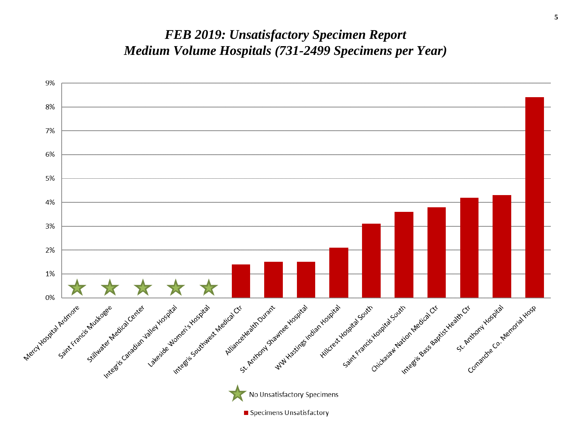#### *FEB 2019: Unsatisfactory Specimen Report Medium Volume Hospitals (731-2499 Specimens per Year)*

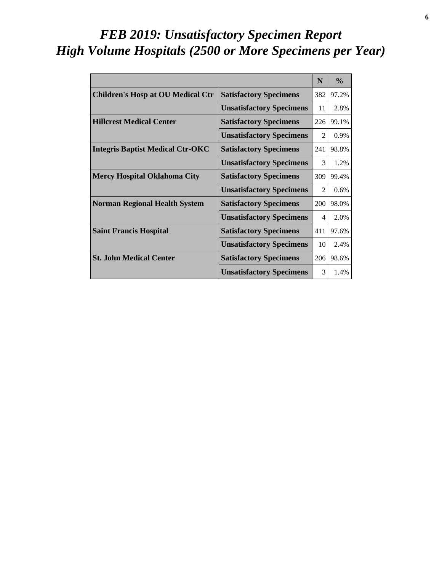# *FEB 2019: Unsatisfactory Specimen Report High Volume Hospitals (2500 or More Specimens per Year)*

|                                          |                                 | N                           | $\frac{0}{0}$ |
|------------------------------------------|---------------------------------|-----------------------------|---------------|
| <b>Children's Hosp at OU Medical Ctr</b> | <b>Satisfactory Specimens</b>   | 382                         | 97.2%         |
|                                          | <b>Unsatisfactory Specimens</b> | 11                          | 2.8%          |
| <b>Hillcrest Medical Center</b>          | <b>Satisfactory Specimens</b>   | 226                         | 99.1%         |
|                                          | <b>Unsatisfactory Specimens</b> | $\mathfrak{D}$              | 0.9%          |
| <b>Integris Baptist Medical Ctr-OKC</b>  | <b>Satisfactory Specimens</b>   | 241                         | 98.8%         |
|                                          | <b>Unsatisfactory Specimens</b> | 3                           | 1.2%          |
| <b>Mercy Hospital Oklahoma City</b>      | <b>Satisfactory Specimens</b>   | 309                         | 99.4%         |
|                                          | <b>Unsatisfactory Specimens</b> | $\mathcal{D}_{\mathcal{L}}$ | $0.6\%$       |
| <b>Norman Regional Health System</b>     | <b>Satisfactory Specimens</b>   | 200                         | 98.0%         |
|                                          | <b>Unsatisfactory Specimens</b> | 4                           | 2.0%          |
| <b>Saint Francis Hospital</b>            | <b>Satisfactory Specimens</b>   | 411                         | 97.6%         |
|                                          | <b>Unsatisfactory Specimens</b> | 10                          | 2.4%          |
| <b>St. John Medical Center</b>           | <b>Satisfactory Specimens</b>   | 206                         | 98.6%         |
|                                          | <b>Unsatisfactory Specimens</b> | 3                           | 1.4%          |